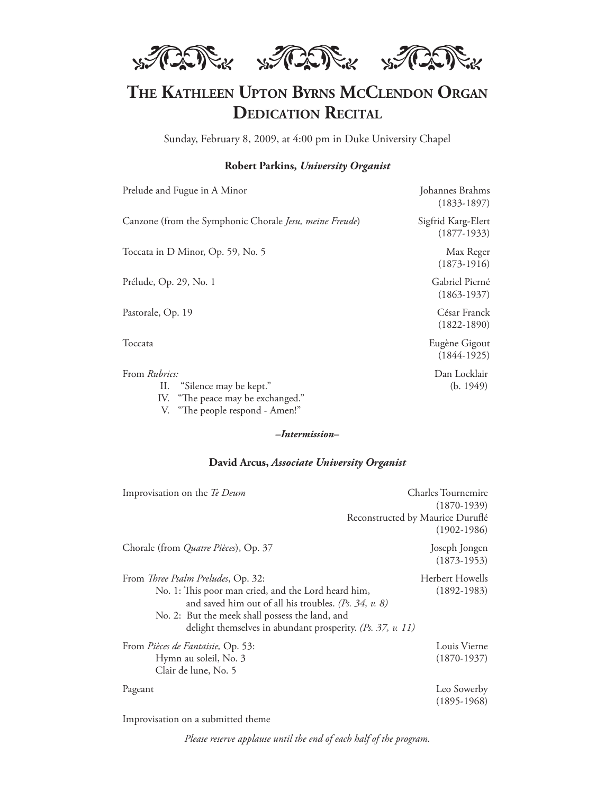

# THE KATHLEEN UPTON BYRNS MCCLENDON ORGAN **DEDICATION RECITAL**

Sunday, February 8, 2009, at 4:00 pm in Duke University Chapel

#### **Robert Parkins,** *University Organist*

| Prelude and Fugue in A Minor                            | Johannes Brahms<br>$(1833 - 1897)$  |
|---------------------------------------------------------|-------------------------------------|
| Canzone (from the Symphonic Chorale Jesu, meine Freude) | Sigfrid Karg-Elert<br>$(1877-1933)$ |
| Toccata in D Minor, Op. 59, No. 5                       | Max Reger<br>$(1873-1916)$          |
| Prélude, Op. 29, No. 1                                  | Gabriel Pierné<br>$(1863 - 1937)$   |
| Pastorale, Op. 19                                       | César Franck<br>$(1822 - 1890)$     |
| Toccata                                                 | Eugène Gigout<br>$(1844-1925)$      |
| From <i>Rubrics</i> :                                   | Dan Locklair                        |

II. "Silence may be kept." (b. 1949)

IV. "The peace may be exchanged."

V. "The people respond - Amen!"

#### **David Arcus,** *Associate University Organist*

| Improvisation on the Te Deum                                                                                                                                                                                                                                                         | Charles Tournemire<br>$(1870-1939)$                 |
|--------------------------------------------------------------------------------------------------------------------------------------------------------------------------------------------------------------------------------------------------------------------------------------|-----------------------------------------------------|
|                                                                                                                                                                                                                                                                                      | Reconstructed by Maurice Duruflé<br>$(1902 - 1986)$ |
| Chorale (from <i>Quatre Pièces</i> ), Op. 37                                                                                                                                                                                                                                         | Joseph Jongen<br>$(1873-1953)$                      |
| From Three Psalm Preludes, Op. 32:<br>No. 1: This poor man cried, and the Lord heard him,<br>and saved him out of all his troubles. ( <i>Ps.</i> $34$ , $v$ . 8)<br>No. 2: But the meek shall possess the land, and<br>delight themselves in abundant prosperity. (Ps. 37, $v$ . 11) | Herbert Howells<br>$(1892 - 1983)$                  |
| From Pièces de Fantaisie, Op. 53:<br>Hymn au soleil, No. 3<br>Clair de lune, No. 5                                                                                                                                                                                                   | Louis Vierne<br>$(1870-1937)$                       |
| Pageant                                                                                                                                                                                                                                                                              | Leo Sowerby<br>$(1895-1968)$                        |

Improvisation on a submitted theme

*Please reserve applause until the end of each half of the program.*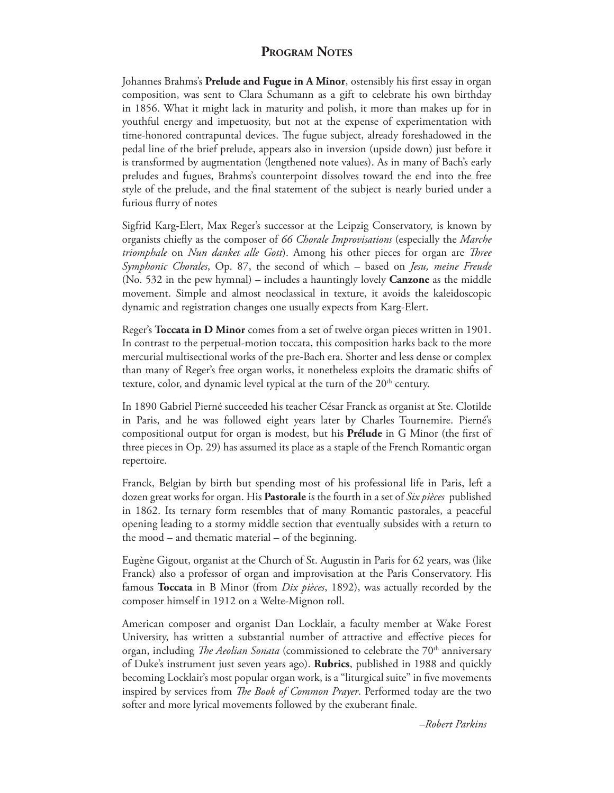## **PROGRAM NOTES**

Johannes Brahms's Prelude and Fugue in A Minor, ostensibly his first essay in organ composition, was sent to Clara Schumann as a gift to celebrate his own birthday in 1856. What it might lack in maturity and polish, it more than makes up for in youthful energy and impetuosity, but not at the expense of experimentation with time-honored contrapuntal devices. The fugue subject, already foreshadowed in the pedal line of the brief prelude, appears also in inversion (upside down) just before it is transformed by augmentation (lengthened note values). As in many of Bach's early preludes and fugues, Brahms's counterpoint dissolves toward the end into the free style of the prelude, and the final statement of the subject is nearly buried under a furious flurry of notes

Sigfrid Karg-Elert, Max Reger's successor at the Leipzig Conservatory, is known by organists chiefly as the composer of 66 Chorale Improvisations (especially the Marche *triomphale* on *Nun danket alle Gott*). Among his other pieces for organ are *Three Symphonic Chorales*, Op. 87, the second of which – based on *Jesu, meine Freude*  (No. 532 in the pew hymnal) – includes a hauntingly lovely **Canzone** as the middle movement. Simple and almost neoclassical in texture, it avoids the kaleidoscopic dynamic and registration changes one usually expects from Karg-Elert.

Reger's **Toccata in D Minor** comes from a set of twelve organ pieces written in 1901. In contrast to the perpetual-motion toccata, this composition harks back to the more mercurial multisectional works of the pre-Bach era. Shorter and less dense or complex than many of Reger's free organ works, it nonetheless exploits the dramatic shifts of texture, color, and dynamic level typical at the turn of the  $20<sup>th</sup>$  century.

In 1890 Gabriel Pierné succeeded his teacher César Franck as organist at Ste. Clotilde in Paris, and he was followed eight years later by Charles Tournemire. Pierné's compositional output for organ is modest, but his **Prélude** in G Minor (the first of three pieces in Op. 29) has assumed its place as a staple of the French Romantic organ repertoire.

Franck, Belgian by birth but spending most of his professional life in Paris, left a dozen great works for organ. His **Pastorale** is the fourth in a set of *Six pièces* published in 1862. Its ternary form resembles that of many Romantic pastorales, a peaceful opening leading to a stormy middle section that eventually subsides with a return to the mood – and thematic material – of the beginning.

Eugène Gigout, organist at the Church of St. Augustin in Paris for 62 years, was (like Franck) also a professor of organ and improvisation at the Paris Conservatory. His famous **Toccata** in B Minor (from *Dix pièces*, 1892), was actually recorded by the composer himself in 1912 on a Welte-Mignon roll.

American composer and organist Dan Locklair, a faculty member at Wake Forest University, has written a substantial number of attractive and effective pieces for organ, including *The Aeolian Sonata* (commissioned to celebrate the 70<sup>th</sup> anniversary of Duke's instrument just seven years ago). **Rubrics**, published in 1988 and quickly becoming Locklair's most popular organ work, is a "liturgical suite" in five movements inspired by services from *The Book of Common Prayer*. Performed today are the two softer and more lyrical movements followed by the exuberant finale.

 *–Robert Parkins*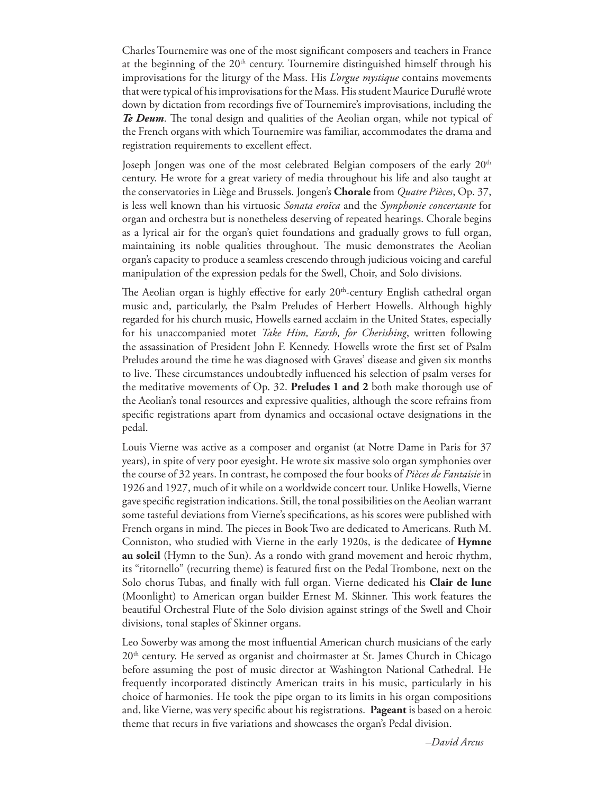Charles Tournemire was one of the most significant composers and teachers in France at the beginning of the  $20<sup>th</sup>$  century. Tournemire distinguished himself through his improvisations for the liturgy of the Mass. His *L'orgue mystique* contains movements that were typical of his improvisations for the Mass. His student Maurice Duruflé wrote down by dictation from recordings five of Tournemire's improvisations, including the *Te Deum*. The tonal design and qualities of the Aeolian organ, while not typical of the French organs with which Tournemire was familiar, accommodates the drama and registration requirements to excellent effect.

Joseph Jongen was one of the most celebrated Belgian composers of the early 20<sup>th</sup> century. He wrote for a great variety of media throughout his life and also taught at the conservatories in Liège and Brussels. Jongen's **Chorale** from *Quatre Pièces*, Op. 37, is less well known than his virtuosic *Sonata eroïca* and the *Symphonie concertante* for organ and orchestra but is nonetheless deserving of repeated hearings. Chorale begins as a lyrical air for the organ's quiet foundations and gradually grows to full organ, maintaining its noble qualities throughout. The music demonstrates the Aeolian organ's capacity to produce a seamless crescendo through judicious voicing and careful manipulation of the expression pedals for the Swell, Choir, and Solo divisions.

The Aeolian organ is highly effective for early  $20<sup>th</sup>$ -century English cathedral organ music and, particularly, the Psalm Preludes of Herbert Howells. Although highly regarded for his church music, Howells earned acclaim in the United States, especially for his unaccompanied motet *Take Him, Earth, for Cherishing*, written following the assassination of President John F. Kennedy. Howells wrote the first set of Psalm Preludes around the time he was diagnosed with Graves' disease and given six months to live. These circumstances undoubtedly influenced his selection of psalm verses for the meditative movements of Op. 32. **Preludes 1 and 2** both make thorough use of the Aeolian's tonal resources and expressive qualities, although the score refrains from specific registrations apart from dynamics and occasional octave designations in the pedal.

Louis Vierne was active as a composer and organist (at Notre Dame in Paris for 37 years), in spite of very poor eyesight. He wrote six massive solo organ symphonies over the course of 32 years. In contrast, he composed the four books of *Pièces de Fantaisie* in 1926 and 1927, much of it while on a worldwide concert tour. Unlike Howells, Vierne gave specific registration indications. Still, the tonal possibilities on the Aeolian warrant some tasteful deviations from Vierne's specifications, as his scores were published with French organs in mind. The pieces in Book Two are dedicated to Americans. Ruth M. Conniston, who studied with Vierne in the early 1920s, is the dedicatee of **Hymne au soleil** (Hymn to the Sun). As a rondo with grand movement and heroic rhythm, its "ritornello" (recurring theme) is featured first on the Pedal Trombone, next on the Solo chorus Tubas, and finally with full organ. Vierne dedicated his **Clair de lune** (Moonlight) to American organ builder Ernest M. Skinner. This work features the beautiful Orchestral Flute of the Solo division against strings of the Swell and Choir divisions, tonal staples of Skinner organs.

Leo Sowerby was among the most influential American church musicians of the early  $20<sup>th</sup>$  century. He served as organist and choirmaster at St. James Church in Chicago before assuming the post of music director at Washington National Cathedral. He frequently incorporated distinctly American traits in his music, particularly in his choice of harmonies. He took the pipe organ to its limits in his organ compositions and, like Vierne, was very specific about his registrations. **Pageant** is based on a heroic theme that recurs in five variations and showcases the organ's Pedal division.